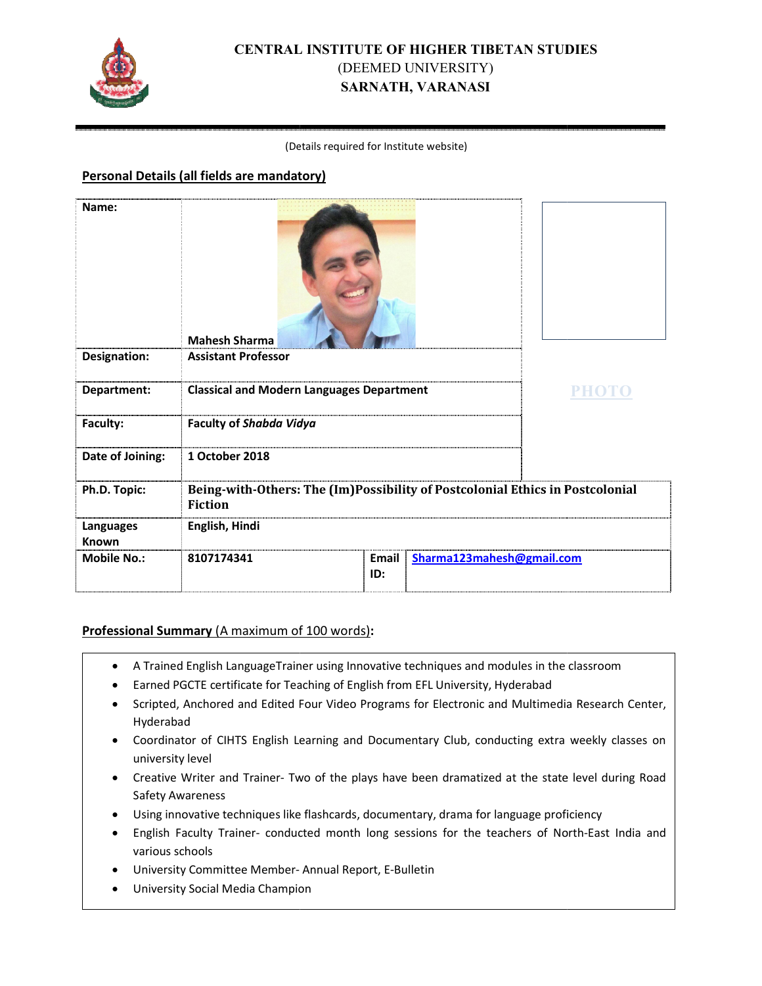

# **CENTRAL INSTITUTE OF HIGHER TIBETAN STUDIES** (DEEMED UNIVERSITY) **SARNATH, VARANASI**

#### (Det Details required for Institute website)

#### **Personal Details (all fields are mandatory)**

| Name:              | <b>Mahesh Sharma</b>                                                                            |              |                           |  |
|--------------------|-------------------------------------------------------------------------------------------------|--------------|---------------------------|--|
| Designation:       | <b>Assistant Professor</b>                                                                      |              |                           |  |
| Department:        | <b>Classical and Modern Languages Department</b>                                                |              | PHOTO                     |  |
| Faculty:           | <b>Faculty of Shabda Vidya</b>                                                                  |              |                           |  |
| Date of Joining:   | 1 October 2018                                                                                  |              |                           |  |
| Ph.D. Topic:       | Being-with-Others: The (Im)Possibility of Postcolonial Ethics in Postcolonial<br><b>Fiction</b> |              |                           |  |
| Languages<br>Known | English, Hindi                                                                                  |              |                           |  |
| <b>Mobile No.:</b> | 8107174341                                                                                      | Email<br>ID: | Sharma123mahesh@gmail.com |  |

### Professional Summary (A maximum of 100 words):

- A Trained English Language Trainer using Innovative techniques and modules in the classroom
- Earned PGCTE certificate for Teaching of English from EFL University, Hyderabad
- Scripted, Anchored and Edited Four Video Programs for Electronic and Multimedia Research Center, Hyderabad
- Coordinator of CIHTS English Learning and Documentary Club, conducting extra weekly classes on university level
- Creative Writer and Trainer- Two of the plays have been dramatized at the state level during Road Safety Awareness
- · Using innovative techniques like flashcards, documentary, drama for language proficiency
- . English Faculty Trainer- conducted month long sessions for the teachers of North-East India and various schools
- University Committee Member- Annual Report, E-Bulletin
- University Social Media Champion pion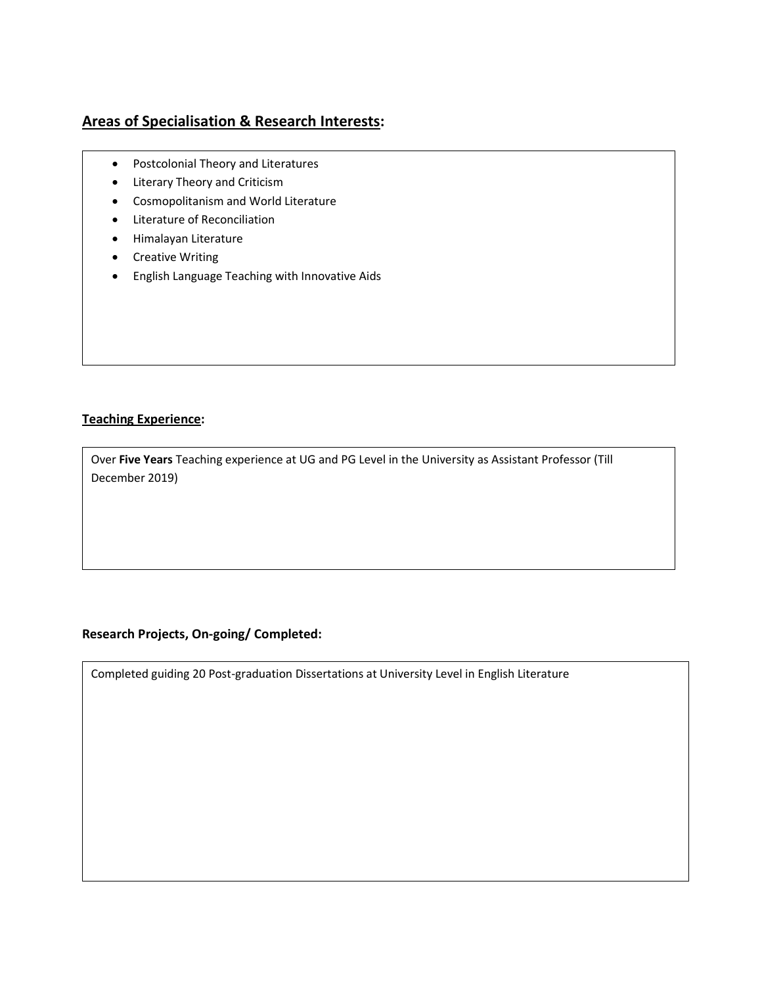# **Areas of Specialisation & Research Interests:**

- Postcolonial Theory and Literatures
- Literary Theory and Criticism
- Cosmopolitanism and World Literature
- Literature of Reconciliation
- Himalayan Literature
- Creative Writing
- English Language Teaching with Innovative Aids

### **Teaching Experience:**

Over **Five Years** Teaching experience at UG and PG Level in the University as Assistant Professor (Till December 2019)

### **Research Projects, On-going/ Completed:**

Completed guiding 20 Post-graduation Dissertations at University Level in English Literature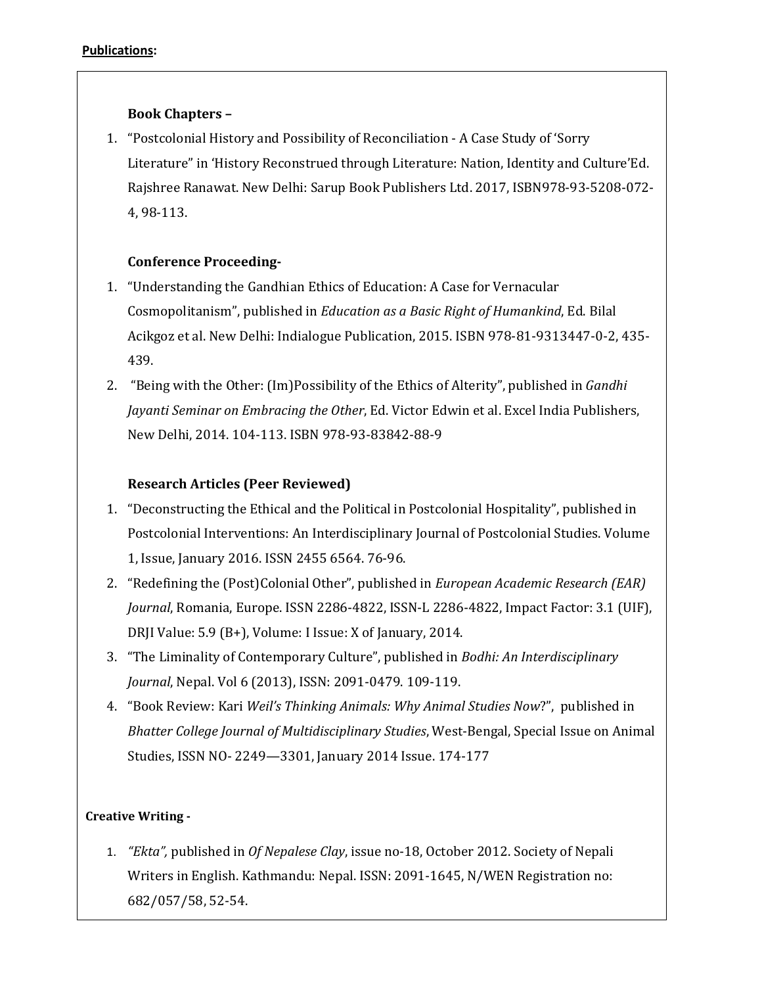# **Book Chapters –**

1. "Postcolonial History and Possibility of Reconciliation - A Case Study of 'Sorry Literature" in 'History Reconstrued through Literature: Nation, Identity and Culture'Ed. Rajshree Ranawat. New Delhi: Sarup Book Publishers Ltd. 2017, ISBN978-93-5208-072- 4, 98-113.

# **Conference Proceeding-**

- 1. "Understanding the Gandhian Ethics of Education: A Case for Vernacular Cosmopolitanism", published in *Education as a Basic Right of Humankind*, Ed. Bilal Acikgoz et al. New Delhi: Indialogue Publication, 2015. ISBN 978-81-9313447-0-2, 435- 439.
- 2. "Being with the Other: (Im)Possibility of the Ethics of Alterity", published in *Gandhi Jayanti Seminar on Embracing the Other*, Ed. Victor Edwin et al. Excel India Publishers, New Delhi, 2014. 104-113. ISBN 978-93-83842-88-9

# **Research Articles (Peer Reviewed)**

- 1. "Deconstructing the Ethical and the Political in Postcolonial Hospitality", published in Postcolonial Interventions: An Interdisciplinary Journal of Postcolonial Studies. Volume 1, Issue, January 2016. ISSN 2455 6564. 76-96.
- 2. "Redefining the (Post)Colonial Other", published in *European Academic Research (EAR) Journal*, Romania, Europe. ISSN 2286-4822, ISSN-L 2286-4822, Impact Factor: 3.1 (UIF), DRJI Value: 5.9 (B+), Volume: I Issue: X of January, 2014.
- 3. "The Liminality of Contemporary Culture", published in *Bodhi: An Interdisciplinary Journal*, Nepal. Vol 6 (2013), ISSN: 2091-0479. 109-119.
- 4. "Book Review: Kari *Weil's Thinking Animals: Why Animal Studies Now*?", published in *Bhatter College Journal of Multidisciplinary Studies*, West-Bengal, Special Issue on Animal Studies, ISSN NO- 2249—3301, January 2014 Issue. 174-177

### **Creative Writing -**

1. *"Ekta",* published in *Of Nepalese Clay*, issue no-18, October 2012. Society of Nepali Writers in English. Kathmandu: Nepal. ISSN: 2091-1645, N/WEN Registration no: 682/057/58, 52-54.